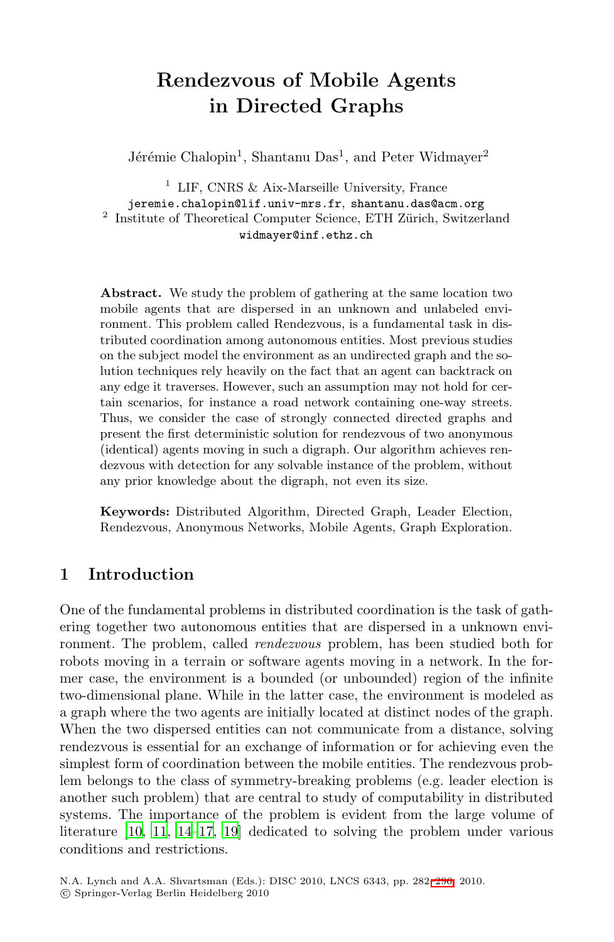# **Rendezvous of Mobile Agents in Directed Graphs**

Jérémie Chalopin<sup>1</sup>, Shantanu Das<sup>1</sup>, and Peter Widmayer<sup>2</sup>

<sup>1</sup> LIF, CNRS & Aix-Marseille University, France jeremie.chalopin@lif.univ-mrs.fr, shantanu.das@acm.org  $^2\,$  Institute of Theoretical Computer Science, ETH Zürich, Switzerland widmayer@inf.ethz.ch

**Abstract.** We study the problem of gathering at the same location two mobile agents that are dispersed in an unknown and unlabeled environment. This problem called Rendezvous, is a fundamental task in distributed coordination among autonomous entities. Most previous studies on the subject model the environment as an undirected graph and the solution techniques rely heavily on the fact that an agent can backtrack on any edge it traverses. However, such an assumption may not hold for certain scenarios, for instance a road network containing one-way streets. Thus, we consider the case of strongly connected directed graphs and present the first deterministic solution for rendezvous of two anonymous (identical) agents moving in such a digraph. Our algorithm achieves rendezvous with detection for any solvable instance of the problem, without any prior knowledge about the digraph, not even its size.

**Keywords:** Distributed Algorithm, Directed Graph, Leader Election, Rendezvous, Anonymous Networks, Mobile Agents, Graph Exploration.

## **1 Introduction**

One of the fundamental problems in distributed coordination is the task of gathering together two autonomous entities that are dispersed in a unknown environment. The problem, called *rendezvous* problem, has been studied both for robots moving in a terrain or software agents moving in a network. In the former case, the environment is a bounded (or unbounded) region of the infinite [tw](#page-14-0)[o-di](#page-14-1)[men](#page-14-2)sional plane. While in the latter case, the environment is modeled as a graph where the two agents are initially located at distinct nodes of the graph. When the two dispersed entities can not communicate from a distance, solving rendezvous is essential for an exchange o[f inf](#page-14-3)ormation or for achieving even the simplest form of coordination between the mobile entities. The rendezvous problem belongs to the class of symmetry-breaking problems (e.g. leader election is another such problem) that are central to study of computability in distributed systems. The importance of the problem is evident from the large volume of literature [10, 11, 14–17, 19] dedicated to solving the problem under various conditions and restrictions.

N.A. Lynch and A.A. Shvartsman (Eds.): DISC 2010, LNCS 6343, pp. 282–296, 2010. -c Springer-Verlag Berlin Heidelberg 2010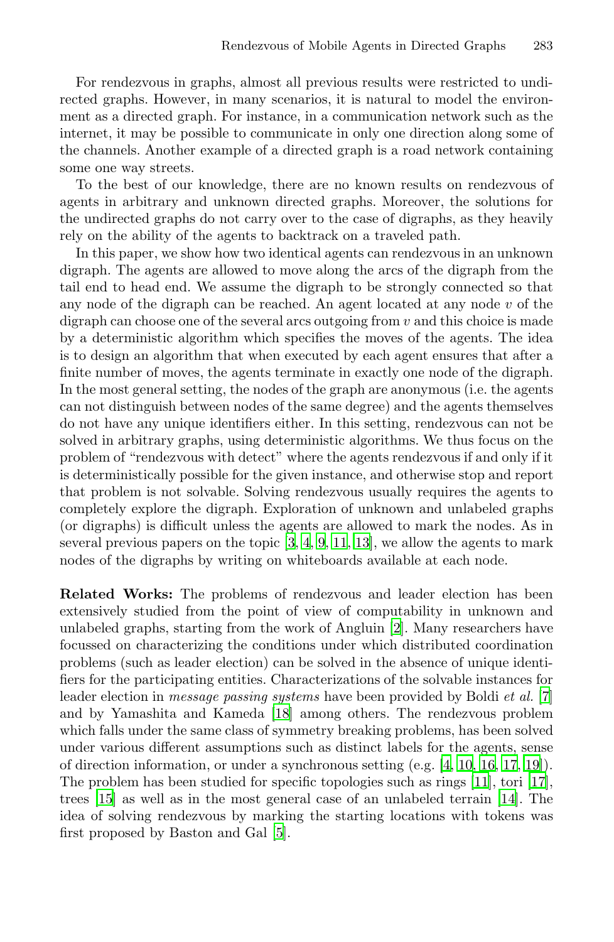For rendezvous in graphs, almost all previous results were restricted to undirected graphs. However, in many scenarios, it is natural to model the environment as a directed graph. For instance, in a communication network such as the internet, it may be possible to communicate in only one direction along some of the channels. Another example of a directed graph is a road network containing some one way streets.

To the best of our knowledge, there are no known results on rendezvous of agents in arbitrary and unknown directed graphs. Moreover, the solutions for the undirected graphs do not carry over to the case of digraphs, as they heavily rely on the ability of the agents to backtrack on a traveled path.

In this paper, we show how two identical agents can rendezvous in an unknown digraph. The agents are allowed to move along the arcs of the digraph from the tail end to head end. We assume the digraph to be strongly connected so that any node of the digraph can be reached. An agent located at any node  $v$  of the digraph can choose one of the several arcs outgoing from  $v$  and this choice is made by a deterministic algorithm which specifies the moves of the agents. The idea is to design an algorithm that when executed by each agent ensures that after a finite number of moves, the agents terminate in exactly one node of the digraph. In the most general setting, the nodes of the graph are anonymous (i.e. the agents can not distinguis[h](#page-13-0) [be](#page-13-1)[tw](#page-13-2)[een](#page-14-4) [nod](#page-14-5)es of the same degree) and the agents themselves do not have any unique identifiers either. In this setting, rendezvous can not be solved in arbitrary graphs, using deterministic algorithms. We thus focus on the problem of "rendezvous with detect" where the agents rendezvous if and only if it is deterministically possible for the given instance, and otherwise stop and report that problem is not solvable. Solv[ing](#page-13-3) rendezvous usually requires the agents to completely explore the digraph. Exploration of unknown and unlabeled graphs (or digraphs) is difficult unless the agents are allowed to mark the nodes. As in several previous papers on the topic [3, 4, 9, 11, 13], we allow the agents to mark nodes of the digraphs by writing on whiteboards available [a](#page-13-4)t each node.

**Related Wor[ks:](#page-14-6)** The problems of rendezvous and leader election has been extensively studied from the point of view of computability in unknown and unlabeled graphs, starting from the work [of](#page-13-1) [Ang](#page-13-5)[luin](#page-14-7) [\[2](#page-14-1)][. M](#page-14-2)any researchers have focussed on characterizing the conditions unde[r w](#page-14-4)hich d[istr](#page-14-1)ibuted coordination problems (such as leader election) can be solved in t[he](#page-14-0) absence of unique identifiers for the participating entities. Characterizations of the solvable instances for leader election [in](#page-13-6) *message passing systems* have been provided by Boldi *et al.* [7] and by Yamashita and Kameda [18] among others. The rendezvous problem which falls under the same class of symmetry breaking problems, has been solved under various different assumptions such as distinct labels for the agents, sense of direction information, or under a synchronous setting (e.g. [4, 10, 16, 17, 19]). The problem has been studied for specific topologies such as rings [11], tori [17], trees [15] as well as in the most general case of an unlabeled terrain [14]. The idea of solving rendezvous by marking the starting locations with tokens was first proposed by Baston and Gal [5].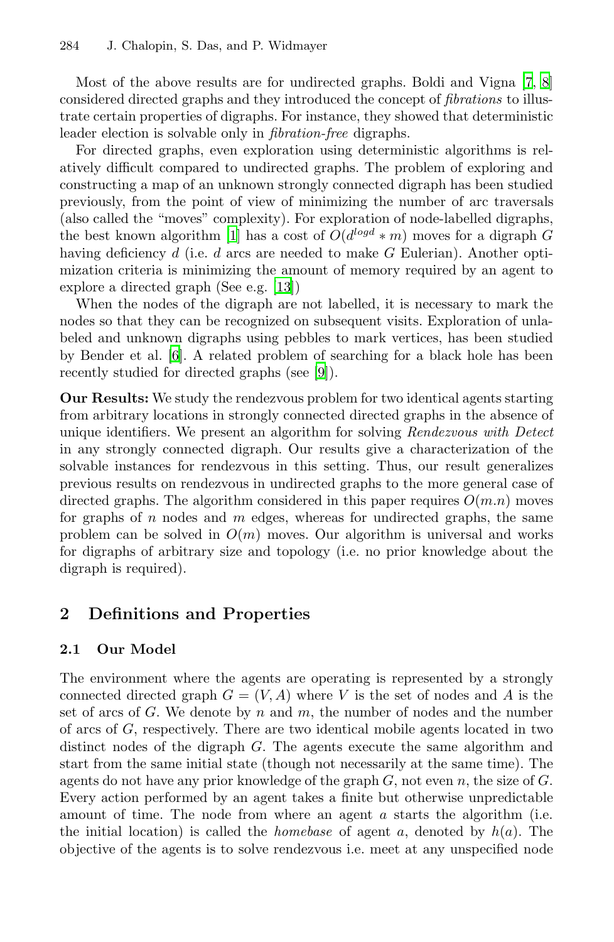#### 284 J. Chalopin, S. Das, and P. Widmayer

Most of the above results are for undirected graphs. Boldi and Vigna [7, 8] consider[ed](#page-13-7) directed graphs and they introduced the concept of *fibrations* to illustrate certain properties of digraphs. For instance, they showed that deterministic leader election is solvable only in *fibration-free* digraphs.

For directed [gra](#page-14-5)phs, even exploration using deterministic algorithms is relatively difficult compared to undirected graphs. The problem of exploring and constructing a map of an unknown strongly connected digraph has been studied previously, from the point of view of minimizing the number of arc traversals [\(](#page-13-8)also called the "moves" complexity). For exploration of node-labelled digraphs, [th](#page-13-2)e best known algorithm [1] has a cost of  $O(d^{\log d} * m)$  moves for a digraph G having deficiency d (i.e. d arcs are needed to make G Eulerian). Another optimization criteria is minimizing the amount of memory required by an agent to explore a directed graph (See e.g. [13])

When the nodes of the digraph are not labelled, it is necessary to mark the nodes so that they can be recognized on subsequent visits. Exploration of unlabeled and unknown digraphs using pebbles to mark vertices, has been studied by Bender et al. [6]. A related problem of searching for a black hole has been recently studied for directed graphs (see [9]).

**Our Results:** We study the rendezvous problem for two identical agents starting from arbitrary locations in strongly connected directed graphs in the absence of unique identifiers. We present an algorithm for solving *Rendezvous with Detect* in any strongly connected digraph. Our results give a characterization of the solvable instances for rendezvous in this setting. Thus, our result generalizes previous results on rendezvous in undirected graphs to the more general case of directed graphs. The algorithm considered in this paper requires  $O(m.n)$  moves for graphs of  $n$  nodes and  $m$  edges, whereas for undirected graphs, the same problem can be solved in  $O(m)$  moves. Our algorithm is universal and works for digraphs of arbitrary size and topology (i.e. no prior knowledge about the digraph is required).

## **2 Definitions and Properties**

### **2.1 Our Model**

The environment where the agents are operating is represented by a strongly connected directed graph  $G = (V, A)$  where V is the set of nodes and A is the set of arcs of G. We denote by n and m, the number of nodes and the number of arcs of G, respectively. There are two identical mobile agents located in two distinct nodes of the digraph G. The agents execute the same algorithm and start from the same initial state (though not necessarily at the same time). The agents do not have any prior knowledge of the graph  $G$ , not even  $n$ , the size of  $G$ . Every action performed by an agent takes a finite but otherwise unpredictable amount of time. The node from where an agent  $a$  starts the algorithm (i.e. the initial location) is called the *homebase* of agent a, denoted by  $h(a)$ . The objective of the agents is to solve rendezvous i.e. meet at any unspecified node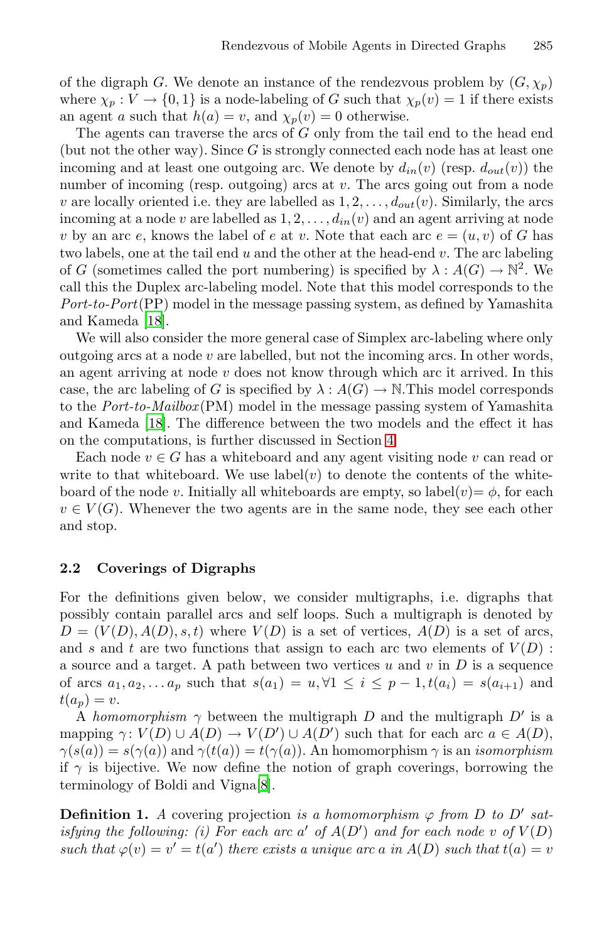of the digraph G. We denote an instance of the rendezvous problem by  $(G, \chi_p)$ where  $\chi_p: V \to \{0, 1\}$  is a node-labeling of G such that  $\chi_p(v) = 1$  if there exists an agent a such that  $h(a) = v$ , and  $\chi_p(v) = 0$  otherwise.

The agents can traverse the arcs of G only from the tail end to the head end (but not the other way). Since  $G$  is strongly connected each node has at least one incoming and at least one outgoing arc. We denote by  $d_{in}(v)$  (resp.  $d_{out}(v)$ ) the number of incoming (resp. outgoing) arcs at  $v$ . The arcs going out from a node v are locally oriented i.e. they are labelled as  $1, 2, \ldots, d_{out}(v)$ . Similarly, the arcs incoming at a node v are labelled as  $1, 2, \ldots, d_{in}(v)$  and an agent arriving at node v by an arc e, knows the label of e at v. Note that each arc  $e = (u, v)$  of G has two labels, one at the tail end  $u$  and the other at the head-end  $v$ . The arc labeling of G (sometimes called the port numbering) is specified by  $\lambda : A(G) \to \mathbb{N}^2$ . We call this the Duplex arc-labeling model. Note that this model corresponds to the *Port-to-Port*(PP) model in the m[ess](#page-11-0)age passing system, as defined by Yamashita and Kameda [18].

We will also consider the more general case of Simplex arc-labeling where only outgoing arcs at a node  $v$  are labelled, but not the incoming arcs. In other words, an agent arriving at node  $v$  does not know through which arc it arrived. In this case, the arc labeling of G is specified by  $\lambda : A(G) \to \mathbb{N}$ . This model corresponds to the *Port-to-Mailbox* (PM) model in the message passing system of Yamashita and Kameda [18]. The difference between the two models and the effect it has on the computations, is further discussed in Section 4.

Each node  $v \in G$  has a whiteboard and any agent visiting node v can read or write to that whiteboard. We use  $label(v)$  to denote the contents of the whiteboard of the node v. Initially all whiteboards are empty, so label(v)=  $\phi$ , for each  $v \in V(G)$ . Whenever the two agents are in the same node, they see each other and stop.

## **2.2 Coverings of Digraphs**

For the definitions given below, we consider multigraphs, i.e. digraphs that possibly contain parallel arcs and self loops. Such a multigraph is denoted by  $D = (V(D), A(D), s, t)$  where  $V(D)$  is a set of vertices,  $A(D)$  is a set of arcs, and s and t [ar](#page-13-9)e two functions that assign to each arc two elements of  $V(D)$ : a source and a target. A path between two vertices  $u$  and  $v$  in  $D$  is a sequence of arcs  $a_1, a_2,... a_p$  such that  $s(a_1) = u, \forall 1 \le i \le p-1, t(a_i) = s(a_{i+1})$  and  $t(a_p) = v.$ 

A *homomorphism*  $\gamma$  between the multigraph D and the multigraph D' is a mapping  $\gamma: V(D) \cup A(D) \to V(D') \cup A(D')$  such that for each arc  $a \in A(D)$ ,  $\gamma(s(a)) = s(\gamma(a))$  and  $\gamma(t(a)) = t(\gamma(a))$ . An homomorphism  $\gamma$  is an *isomorphism* if  $\gamma$  is bijective. We now define the notion of graph coverings, borrowing the terminology of Boldi and Vigna[8].

**Definition 1.** *A* covering projection *is a homomorphism*  $\varphi$  *from D to D' satisfying the following: (i) For each arc*  $a'$  *of*  $A(D')$  *and for each node* v *of*  $V(D)$ *such that*  $\varphi(v) = v' = t(a')$  *there exists a unique arc a in*  $A(D)$  *such that*  $t(a) = v'$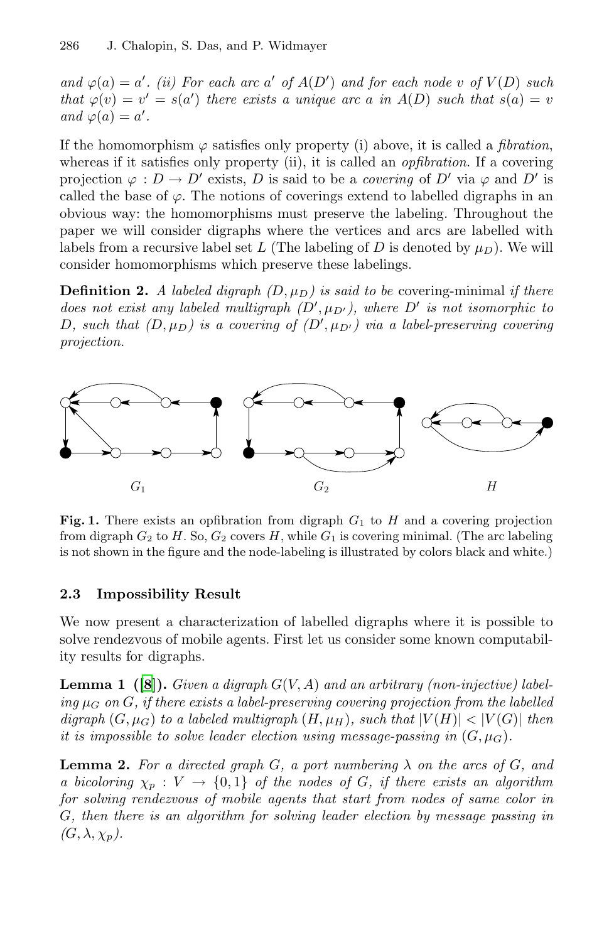and  $\varphi(a) = a'$ . *(ii)* For each arc a' of  $A(D')$  and for each node v of  $V(D)$  such *that*  $\varphi(v) = v' = s(a')$  *there exists a unique arc a in*  $A(D)$  *such that*  $s(a) = v$ *and*  $\varphi(a) = a'$ .

If the homomorphism  $\varphi$  satisfies only property (i) above, it is called a *fibration*, whereas if it satisfies only property (ii), it is called an *opfibration*. If a covering projection  $\varphi : D \to D'$  exists, D is said to be a *covering* of D' via  $\varphi$  and D' is called the base of  $\varphi$ . The notions of coverings extend to labelled digraphs in an obvious way: the homomorphisms must preserve the labeling. Throughout the paper we will consider digraphs where the vertices and arcs are labelled with labels from a recursive label set L (The labeling of D is denoted by  $\mu_D$ ). We will consider homomorphisms which preserve these labelings.

**Definition 2.** *A labeled digraph*  $(D, \mu_D)$  *is said to be* covering-minimal *if there does not exist any labeled multigraph*  $(D', \mu_{D'})$ , where  $D'$  *is not isomorphic to* D, such that  $(D, \mu_D)$  is a covering of  $(D', \mu_{D'})$  via a label-preserving covering *projection.*



**Fig. 1.** There exists an opfibration from digraph  $G_1$  to  $H$  and a covering projection from digraph  $G_2$  to  $H$ . So,  $G_2$  covers  $H$ , while  $G_1$  is covering minimal. (The arc labeling is not shown in the figure and the node-labeling is illustrated by colors black and white.)

### **2.3 Impossibility Result**

We now present a characterization of labelled digraphs where it is possible to solve rendezvous of mobile agents. First let us consider some known computability results for digraphs.

**Lemma 1 ([8]).** *Given a digraph* G(V,A) *and an arbitrary (non-injective) labeling*  $\mu$ <sup>*G*</sup> *on G*, *if there exists a label-preserving covering projection from the labelled digraph*  $(G, \mu_G)$  *to a labeled multigraph*  $(H, \mu_H)$ *, such that*  $|V(H)| < |V(G)|$  *then it is impossible to solve leader election using message-passing in*  $(G, \mu_G)$ *.* 

**Lemma 2.** For a directed graph  $G$ , a port numbering  $\lambda$  on the arcs of  $G$ , and *a bicoloring*  $\chi_p : V \to \{0,1\}$  *of the nodes of G, if there exists an algorithm for solving rendezvous of mobile agents that start from nodes of same color in* G*, then there is an algorithm for solving leader election by message passing in*  $(G, \lambda, \chi_p)$ .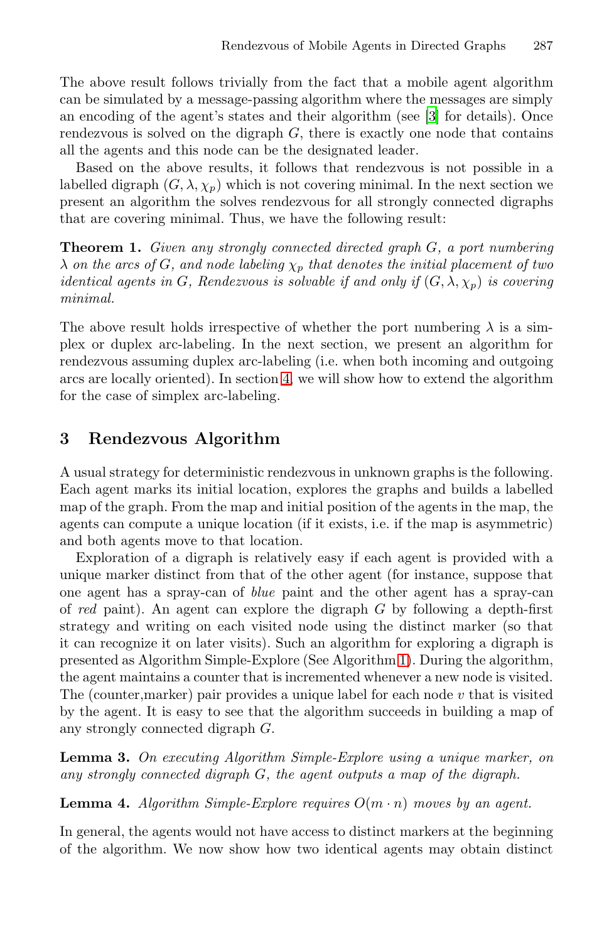The above result follows trivially from the fact that a mobile agent algorithm can be simulated by a message-passing algorithm where the messages are simply an encoding of the agent's states and their algorithm (see [3] for details). Once rendezvous is solved on the digraph  $G$ , there is exactly one node that contains all the agents and this node can be the designated leader.

Based on the above results, it follows that rendezvous is not possible in a labelled digraph  $(G, \lambda, \chi_p)$  which is not covering minimal. In the next section we present an algorithm the solves rendezvous for all strongly connected digraphs that are covering minimal. Thus, we have the following result:

**Theorem 1.** *G[ive](#page-11-0)n any strongly connected directed graph* G*, a port numbering*  $\lambda$  *on the arcs of* G, and node labeling  $\chi_p$  that denotes the initial placement of two *identical agents in* G, Rendezvous is solvable if and only if  $(G, \lambda, \chi_p)$  is covering *minimal.*

The above result holds irrespective of whether the port numbering  $\lambda$  is a simplex or duplex arc-labeling. In the next section, we present an algorithm for rendezvous assuming duplex arc-labeling (i.e. when both incoming and outgoing arcs are locally oriented). In section 4, we will show how to extend the algorithm for the case of simplex arc-labeling.

# **3 Rendezvous Algorithm**

A usual strategy for deterministic rendezvous in unknown graphs is the following. Each agent marks its initial location, explores the graphs and builds a labelled map of the graph. From the map and initial position of the agents in the map, the agents can compute a unique locati[on](#page-5-0) (if it exists, i.e. if the map is asymmetric) and both agents move to that location.

<span id="page-5-0"></span>Exploration of a digraph is relatively easy if each agent is provided with a unique marker distinct from that of the other agent (for instance, suppose that one agent has a spray-can of *blue* paint and the other agent has a spray-can of *red* paint). An agent can explore the digraph G by following a depth-first strategy and writing on each visited node using the distinct marker (so that it can recognize it on later visits). Such an algorithm for exploring a digraph is presented as Algorithm Simple-Explore (See Algorithm 1). During the algorithm, the agent maintains a counter that is incremented whenever a new node is visited. The (counter, marker) pair provides a unique label for each node  $v$  that is visited by the agent. It is easy to see that the algorithm succeeds in building a map of any strongly connected digraph G.

**Lemma 3.** *On executing Algorithm Simple-Explore using a unique marker, on any strongly connected digraph* G*, the agent outputs a map of the digraph.*

**Lemma 4.** *Algorithm Simple-Explore requires*  $O(m \cdot n)$  *moves by an agent.* 

In general, the agents would not have access to distinct markers at the beginning of the algorithm. We now show how two identical agents may obtain distinct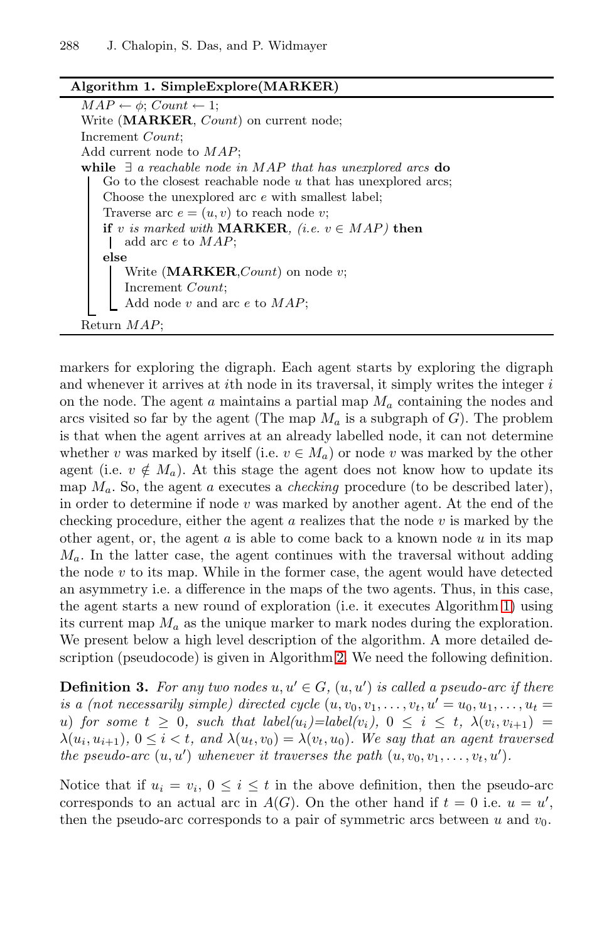## **Algorithm 1. SimpleExplore(MARKER)**

 $MAP \leftarrow \phi$ ; Count  $\leftarrow$  1; Write (MARKER, Count) on current node; Increment Count; Add current node to MAP; **while** <sup>∃</sup> *a reachable node in* MAP *that has unexplored arcs* **do** Go to the closest reachable node  $u$  that has unexplored arcs; Choose the unexplored arc e with smallest label; Traverse arc  $e = (u, v)$  to reach node v; **if** v is marked with **MARKER**, (i.e.  $v \in MAP$ ) **then** add arc *e* to *MAP*; **else** Write (MARKER, Count) on node v; Increment Count; Add node  $v$  and arc  $e$  to  $MAP;$ Return MAP;

markers for exploring the digraph. Each agent starts by exploring the digraph and whenever it arrives at *i*th node in its traversal, it simply writes the integer  $i$ on the node. The agent a maintains a partial map  $M_a$  containing the nodes and arcs visited so far by the agent (The map  $M_a$  is a subgraph of  $G$ ). The problem is that when the agent arrives at an already labelled node, it can not determine whether v was marked by itself (i.e.  $v \in M_a$ ) or node v was marked by the other agent (i.e.  $v \notin M_a$  $v \notin M_a$  $v \notin M_a$ ). At this stage the agent does not know how to update its map M*a*. So, the agent a executes a *checking* procedure (to be described later), in order to determine if node v was marked by another agent. At the end of the checking procedure, eithe[r t](#page-7-0)he agent  $a$  realizes that the node  $v$  is marked by the other agent, or, the agent  $a$  is able to come back to a known node  $u$  in its map  $M_a$ . In the latter case, the agent continues with the traversal without adding the node  $v$  to its map. While in the former case, the agent would have detected an asymmetry i.e. a difference in the maps of the two agents. Thus, in this case, the agent starts a new round of exploration (i.e. it executes Algorithm 1) using its current map  $M_a$  as the unique marker to mark nodes during the exploration. We present below a high level description of the algorithm. A more detailed description (pseudocode) is given in Algorithm 2. We need the following definition.

**Definition 3.** For any two nodes  $u, u' \in G$ ,  $(u, u')$  is called a pseudo-arc if there *is a (not necessarily simple) directed cycle*  $(u, v_0, v_1, \ldots, v_t, u' = u_0, u_1, \ldots, u_t =$ u) *for some*  $t \geq 0$ *, such that label* $(u_i) =$ label $(v_i)$ ,  $0 \leq i \leq t$ ,  $\lambda(v_i, v_{i+1}) =$  $\lambda(u_i, u_{i+1}), 0 \leq i < t,$  and  $\lambda(u_t, v_0) = \lambda(v_t, u_0)$ . We say that an agent traversed *the pseudo-arc*  $(u, u')$  *whenever it traverses the path*  $(u, v_0, v_1, \ldots, v_t, u')$ *.* 

Notice that if  $u_i = v_i$ ,  $0 \le i \le t$  in the above definition, then the pseudo-arc corresponds to an actual arc in  $A(G)$ . On the other hand if  $t = 0$  i.e.  $u = u'$ , then the pseudo-arc corresponds to a pair of symmetric arcs between u and  $v_0$ .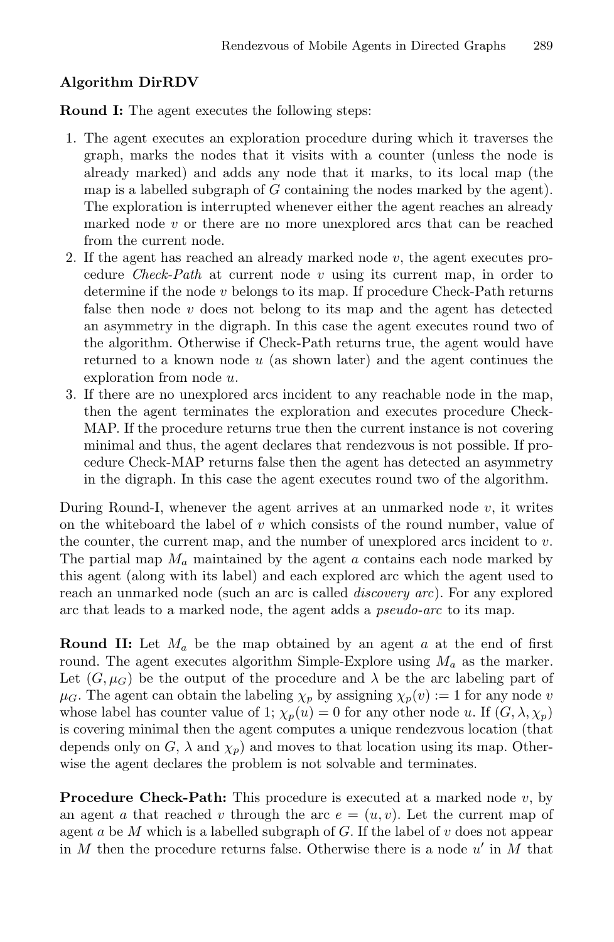# **Algorithm DirRDV**

**Round I:** The agent executes the following steps:

- 1. The agent executes an exploration procedure during which it traverses the graph, marks the nodes that it visits with a counter (unless the node is already marked) and adds any node that it marks, to its local map (the map is a labelled subgraph of  $G$  containing the nodes marked by the agent). The exploration is interrupted whenever either the agent reaches an already marked node  $v$  or there are no more unexplored arcs that can be reached from the current node.
- 2. If the agent has reached an already marked node v, the agent executes procedure *Check-Path* at current node v using its current map, in order to determine if the node v belongs to its map. If procedure Check-Path returns false then node  $v$  does not belong to its map and the agent has detected an asymmetry in the digraph. In this case the agent executes round two of the algorithm. Otherwise if Check-Path returns true, the agent would have returned to a known node u (as shown later) and the agent continues the exploration from node u.
- 3. If there are no unexplored arcs incident to any reachable node in the map, then the agent terminates the exploration and executes procedure Check-MAP. If the procedure returns true then the current instance is not covering minimal and thus, the agent declares that rendezvous is not possible. If procedure Check-MAP returns false then the agent has detected an asymmetry in the digraph. In this case the agent executes round two of the algorithm.

During Round-I, whenever the agent arrives at an unmarked node  $v$ , it writes on the whiteboard the label of v which consists of the round number, value of the counter, the current map, and the number of unexplored arcs incident to  $v$ . The partial map  $M_a$  maintained by the agent  $a$  contains each node marked by this agent (along with its label) and each explored arc which the agent used to reach an unmarked node (such an arc is called *discovery arc*). For any explored arc that leads to a marked node, the agent adds a *pseudo-arc* to its map.

**Round II:** Let  $M_a$  be the map obtained by an agent a at the end of first round. The agent executes algorithm Simple-Explore using M*<sup>a</sup>* as the marker. Let  $(G, \mu_G)$  be the output of the procedure and  $\lambda$  be the arc labeling part of  $\mu$ <sub>*G*</sub>. The agent can obtain the labeling  $\chi_p$  by assigning  $\chi_p(v) := 1$  for any node v whose label has counter value of 1;  $\chi_p(u) = 0$  for any other node u. If  $(G, \lambda, \chi_p)$ is covering minimal then the agent computes a unique rendezvous location (that depends only on  $G$ ,  $\lambda$  and  $\chi_p$ ) and moves to that location using its map. Otherwise the agent declares the problem is not solvable and terminates.

<span id="page-7-0"></span>**Procedure Check-Path:** This procedure is executed at a marked node v, by an agent a that reached v through the arc  $e = (u, v)$ . Let the current map of agent a be M which is a labelled subgraph of  $G$ . If the label of v does not appear in M then the procedure returns false. Otherwise there is a node  $u'$  in M that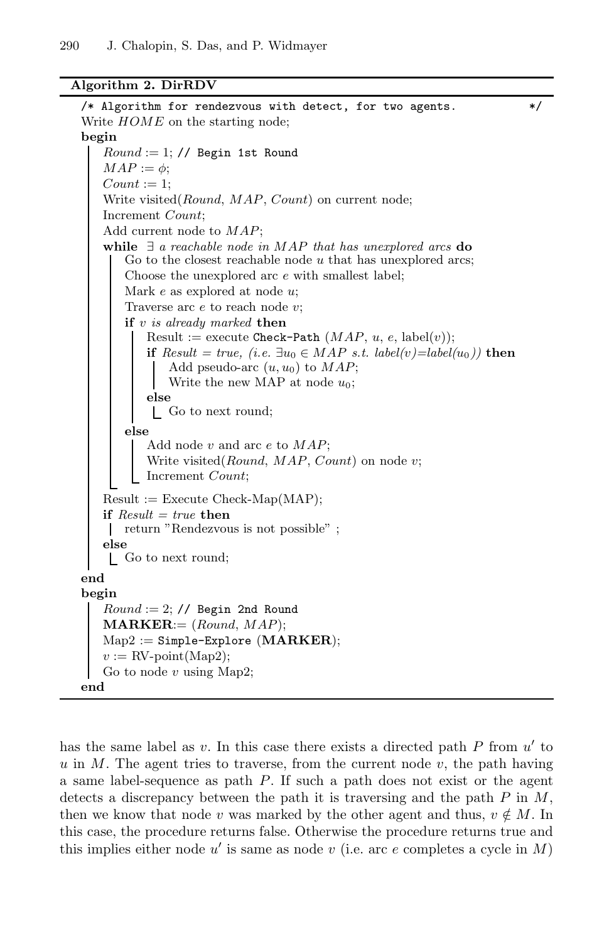**Algorithm 2. DirRDV**

/\* Algorithm for rendezvous with detect, for two agents. \*/ Write  $HOME$  on the starting node; **begin**  $Round := 1; // Begin 1st Round$  $MAP := \phi$ ;  $Count := 1;$ Write visited(Round, MAP, Count) on current node; Increment Count; Add current node to MAP; **while** <sup>∃</sup> *a reachable node in* MAP *that has unexplored arcs* **do** Go to the closest reachable node  $u$  that has unexplored arcs; Choose the unexplored arc e with smallest label; Mark e as explored at node u; Traverse arc e to reach node v; **if** v *is already marked* **then** Result := execute Check-Path  $(MAP, u, e, label(v));$ **if**  $Result = true, (i.e. \exists u_0 \in MAP \ s.t. \ label(v) = label(u_0))$  **then** Add pseudo-arc  $(u, u_0)$  to  $MAP;$ Write the new MAP at node  $u_0$ ; **else** Go to next round; **else** Add node v and arc e to MAP; Write visited( $Round, MAP, Count$ ) on node v; Increment Count;  $Result := Exercise 2 \text{Check-Map}(MAP);$ **if** *Result = true* **then** return "Rendezvous is not possible" ;  $\mathbf{I}$ **else** Go to next round; **end begin**  $Round := 2; // Begin 2nd Round$  $\mathbf{MARKER} := (Round, MAP);$ Map2 := Simple-Explore (**MARKER**);  $v := \text{RV-point}(\text{Map2});$ Go to node  $v$  using Map2; **end**

has the same label as v. In this case there exists a directed path  $P$  from  $u'$  to  $u$  in M. The agent tries to traverse, from the current node  $v$ , the path having a same label-sequence as path P. If such a path does not exist or the agent detects a discrepancy between the path it is traversing and the path  $P$  in  $M$ , then we know that node v was marked by the other agent and thus,  $v \notin M$ . In this case, the procedure returns false. Otherwise the procedure returns true and this implies either node u' is same as node v (i.e. arc e completes a cycle in  $M$ )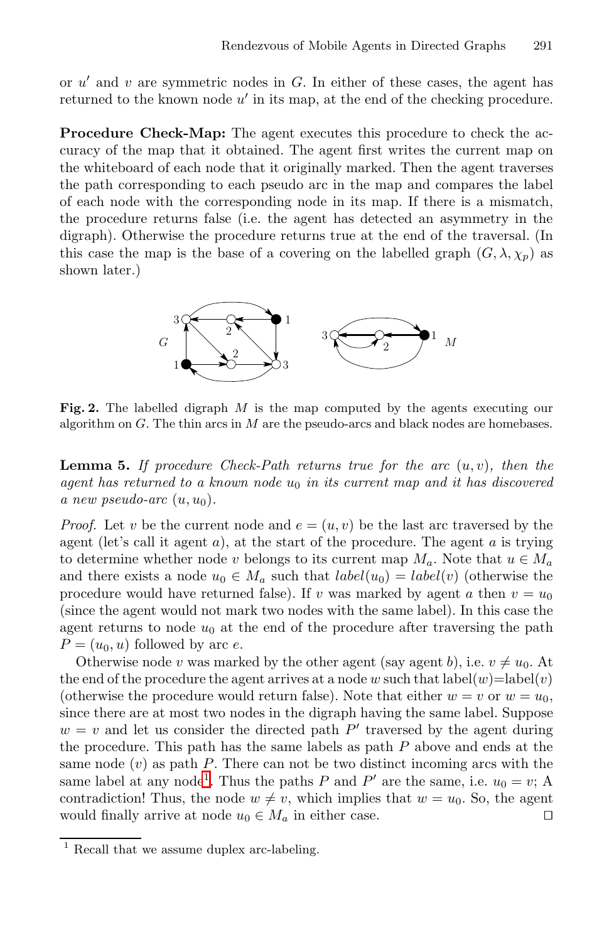or  $u'$  and v are symmetric nodes in G. In either of these cases, the agent has returned to the known node  $u'$  in its map, at the end of the checking procedure.

**Procedure Check-Map:** The agent executes this procedure to check the accuracy of the map that it obtained. The agent first writes the current map on the whiteboard of each node that it originally marked. Then the agent traverses the path corresponding to each pseudo arc in the map and compares the label of each node with the corresponding node in its map. If there is a mismatch, the procedure returns false (i.e. the agent has detected an asymmetry in the digraph). Otherwise the procedure returns true at the end of the traversal. (In this case the map is the base of a covering on the labelled graph  $(G, \lambda, \chi_p)$  as shown later.)



<span id="page-9-1"></span>Fig. 2. The labelled digraph M is the map computed by the agents executing our algorithm on  $G$ . The thin arcs in  $M$  are the pseudo-arcs and black nodes are homebases.

**Lemma 5.** *If procedure Check-Path returns true for the arc* (u, v)*, then the* agent has returned to a known node  $u_0$  in its current map and it has discovered  $a$  *new pseudo-arc*  $(u, u_0)$ .

*Proof.* Let v be the current node and  $e = (u, v)$  be the last arc traversed by the agent (let's call it agent  $a$ ), at the start of the procedure. The agent  $a$  is trying to determine whether node v belongs to its current map  $M_a$ . Note that  $u \in M_a$ and there exists a node  $u_0 \in M_a$  such that  $label(u_0) = label(v)$  (otherwise the procedure would have returned false). If v was marked by agent a then  $v = u_0$ (since the agent would not mark two nodes with the same label). In this case the agent returns to node  $u_0$  at the end of the procedure after traversing the path  $P = (u_0, u)$  $P = (u_0, u)$  $P = (u_0, u)$  followed by arc e.

<span id="page-9-0"></span>Otherwise node v was marked by the other agent (say agent b), i.e.  $v \neq u_0$ . At the end of the procedure the agent arrives at a node w such that  $label(w)=label(v)$ (otherwise the procedure would return false). Note that either  $w = v$  or  $w = u_0$ , since there are at most two nodes in the digraph having the same label. Suppose  $w = v$  and let us consider the directed path P' traversed by the agent during the procedure. This path has the same labels as path  $P$  above and ends at the same node  $(v)$  as path P. There can not be two distinct incoming arcs with the same label at any node<sup>1</sup>. Thus the paths P and P' are the same, i.e.  $u_0 = v$ ; A contradiction! Thus, the node  $w \neq v$ , which implies that  $w = u_0$ . So, the agent would finally arrive at node  $u_0 \in M_a$  in either case.  $\Box$ 

 $1$  Recall that we assume duplex arc-labeling.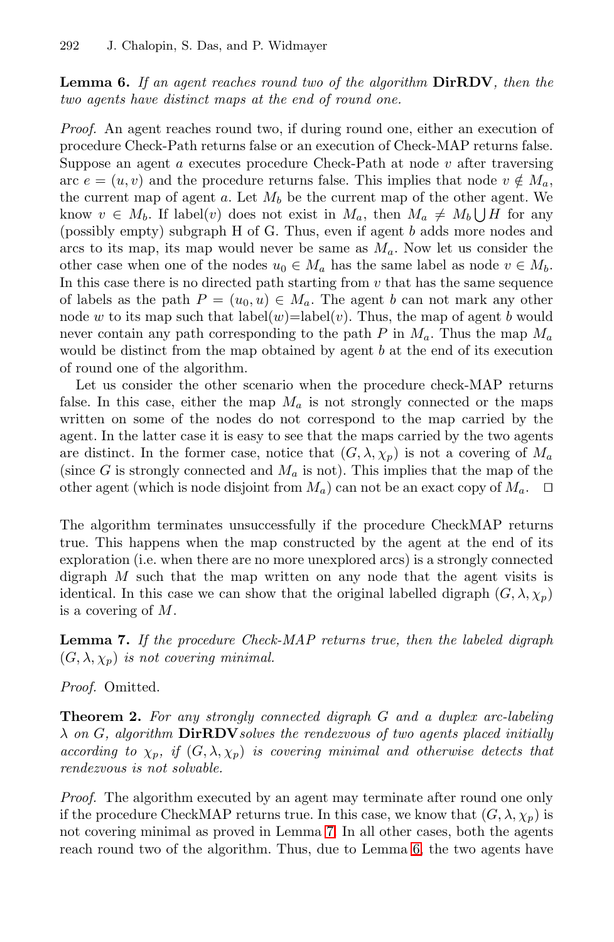#### <span id="page-10-0"></span>292 J. Chalopin, S. Das, and P. Widmayer

**Lemma 6.** *If an agent reaches round two of the algorithm* **DirRDV***, then the two agents have distinct maps at the end of round one.*

*Proof.* An agent reaches round two, if during round one, either an execution of procedure Check-Path returns false or an execution of Check-MAP returns false. Suppose an agent  $a$  executes procedure Check-Path at node  $v$  after traversing arc  $e = (u, v)$  and the procedure returns false. This implies that node  $v \notin M_a$ , the current map of agent  $a$ . Let  $M_b$  be the current map of the other agent. We know  $v \in M_b$ . If label(v) does not exist in  $M_a$ , then  $M_a \neq M_b \bigcup H$  for any (possibly empty) subgraph H of G. Thus, even if agent b adds more nodes and arcs to its map, its map would never be same as  $M_a$ . Now let us consider the other case when one of the nodes  $u_0 \in M_a$  has the same label as node  $v \in M_b$ . In this case there is no directed path starting from  $v$  that has the same sequence of labels as the path  $P = (u_0, u) \in M_a$ . The agent b can not mark any other node w to its map such that  $\text{label}(w)$ =label(v). Thus, the map of agent b would never contain any path corresponding to the path P in M*a*. Thus the map M*<sup>a</sup>* would be distinct from the map obtained by agent  $b$  at the end of its execution of round one of the algorithm.

Let us consider the other scenario when the procedure check-MAP returns false. In this case, either the map  $M_a$  is not strongly connected or the maps written on some of the nodes do not correspond to the map carried by the agent. In the latter case it is easy to see that the maps carried by the two agents are distinct. In the former case, notice that  $(G, \lambda, \chi_p)$  is not a covering of  $M_a$ (since G is strongly connected and  $M_a$  is not). This implies that the map of the other agent (which is node disjoint from  $M_a$ ) can not be an exact copy of  $M_a$ .  $\Box$ 

<span id="page-10-1"></span>The algorithm terminates unsuccessfully if the procedure CheckMAP returns true. This happens when the map constructed by the agent at the end of its exploration (i.e. when there are no more unexplored arcs) is a strongly connected digraph  $M$  such that the map written on any node that the agent visits is identical. In this case we can show that the original labelled digraph  $(G, \lambda, \chi_p)$ is a covering of M.

**Lemma 7.** *If the procedure Check-MAP returns true, then the labeled digraph*  $(G, \lambda, \chi_p)$  *is not covering minimal.* 

*Proof.* Omitted.

**Theorem 2.** *For any strongly conn[ect](#page-10-0)ed digraph* G *and a duplex arc-labeling* λ *on* G*, algorithm* **DirRDV***solves the rendezvous of two agents placed initially according to*  $\chi_p$ *, if*  $(G, \lambda, \chi_p)$  *is covering minimal and otherwise detects that rendezvous is not solvable.*

*Proof.* The algorithm executed by an agent may terminate after round one only if the procedure CheckMAP returns true. In this case, we know that  $(G, \lambda, \chi_p)$  is not covering minimal as proved in Lemma 7. In all other cases, both the agents reach round two of the algorithm. Thus, due to Lemma 6, the two agents have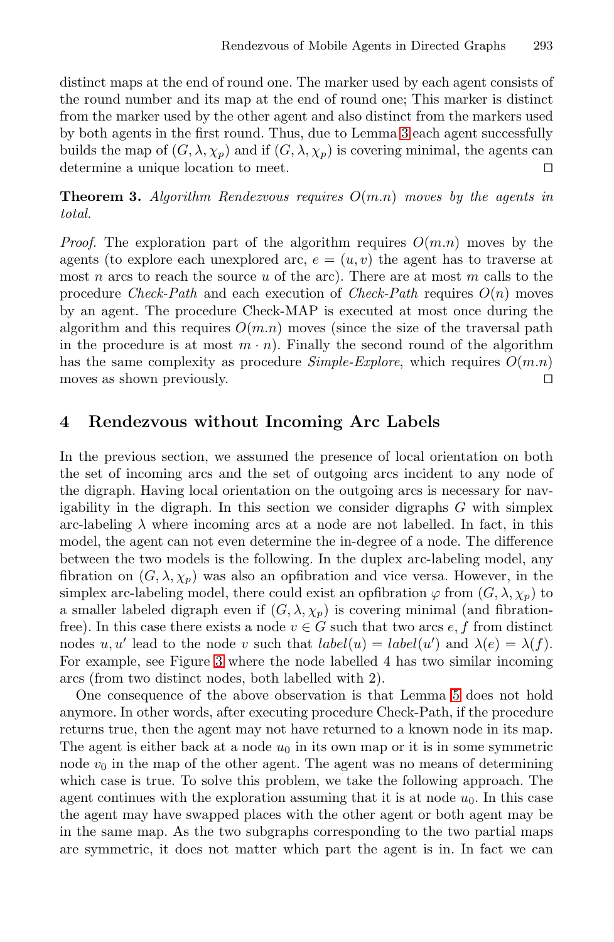distinct maps at the end of round one. The marker used by each agent consists of the round number and its map at the end of round one; This marker is distinct from the marker used by the other agent and also distinct from the markers used by both agents in the first round. Thus, due to Lemma 3 each agent successfully builds the map of  $(G, \lambda, \chi_p)$  and if  $(G, \lambda, \chi_p)$  is covering minimal, the agents can determine a unique location to meet.  $\Box$ 

**Theorem 3.** *Algorithm Rendezvous requires* O(m.n) *moves by the agents in total.*

<span id="page-11-0"></span>*Proof.* The exploration part of the algorithm requires  $O(m.n)$  moves by the agents (to explore each unexplored arc,  $e = (u, v)$  the agent has to traverse at most n arcs to reach the source u of the arc). There are at most m calls to the procedure *Check-Path* and each execution of *Check-Path* requires O(n) moves by an agent. The procedure Check-MAP is executed at most once during the algorithm and this requires  $O(m.n)$  moves (since the size of the traversal path in the procedure is at most  $m \cdot n$ ). Finally the second round of the algorithm has the same complexity as procedure *Simple-Explore*, which requires  $O(m.n)$ moves as shown previously.  $\Box$ 

# **4 Rendezvous without Incoming Arc Labels**

In the previous section, we assumed the presence of local orientation on both the set of incoming arcs and the set of outgoing arcs incident to any node of the digraph. Having local orientation on the outgoing arcs is necessary for navigability in the digraph. In this section we consider digraphs  $G$  with simplex arc-la[be](#page-12-0)ling  $\lambda$  where incoming arcs at a node are not labelled. In fact, in this model, the agent can not even determine the in-degree of a node. The difference between the two models is the following. In [th](#page-9-1)e duplex arc-labeling model, any fibration on  $(G, \lambda, \chi_p)$  was also an opfibration and vice versa. However, in the simplex arc-labeling model, there could exist an opfibration  $\varphi$  from  $(G, \lambda, \chi_p)$  to a smaller labeled digraph even if  $(G, \lambda, \chi_p)$  is covering minimal (and fibrationfree). In this case there exists a node  $v \in G$  such that two arcs  $e, f$  from distinct nodes u, u' lead to the node v such that  $label(u) = label(u')$  and  $\lambda(e) = \lambda(f)$ . For example, see Figure 3 where the node labelled 4 has two similar incoming arcs (from two distinct nodes, both labelled with 2).

One consequence of the above observation is that Lemma 5 does not hold anymore. In other words, after executing procedure Check-Path, if the procedure returns true, then the agent may not have returned to a known node in its map. The agent is either back at a node  $u_0$  in its own map or it is in some symmetric node  $v_0$  in the map of the other agent. The agent was no means of determining which case is true. To solve this problem, we take the following approach. The agent continues with the exploration assuming that it is at node  $u_0$ . In this case the agent may have swapped places with the other agent or both agent may be in the same map. As the two subgraphs corresponding to the two partial maps are symmetric, it does not matter which part the agent is in. In fact we can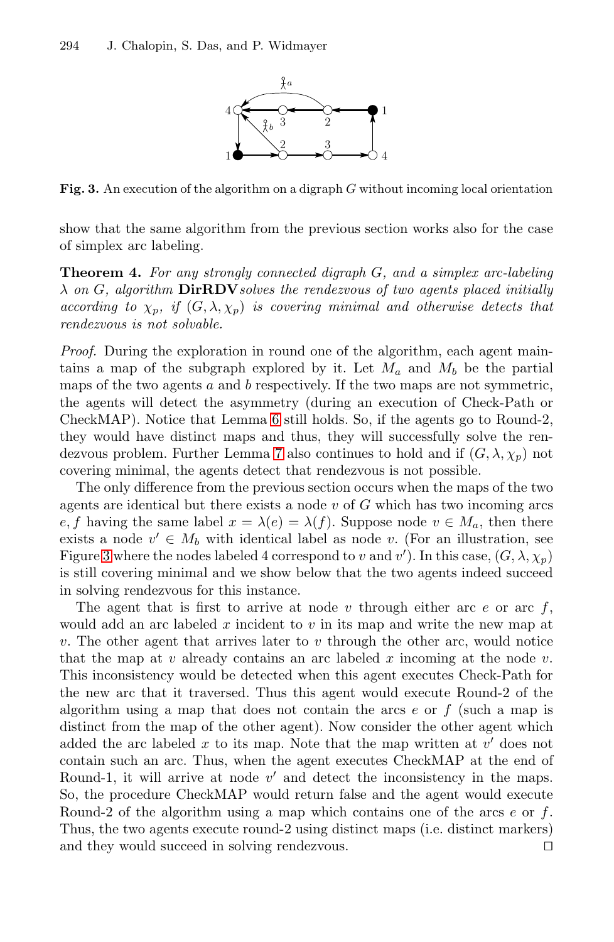#### <span id="page-12-0"></span>294 J. Chalopin, S. Das, and P. Widmayer



**Fig. 3.** An execution of the algorithm on a digraph G without incoming local orientation

show that the same algorithm from the previous section works also for the case of simplex arc labeling.

**Theorem 4.** *For any strongly connected digraph* G*, and a simplex arc-labeling* λ *on* G*, algori[thm](#page-10-0)* **DirRDV***solves the rendezvous of two agents placed initially according to*  $\chi_p$ *, if*  $(G, \lambda, \chi_p)$  *is covering minimal and otherwise detects that rendezvous is n[ot](#page-10-1) solvable.*

*Proof.* During the exploration in round one of the algorithm, each agent maintains a map of the subgraph explored by it. Let  $M_a$  and  $M_b$  be the partial maps of the two agents  $a$  and  $b$  respectively. If the two maps are not symmetric, the agents will detect the asymmetry (during an execution of Check-Path or CheckMAP). Notice that Lemma 6 still holds. So, if the agents go to Round-2, they would have distinct maps and thus, they will successfully solve the rendezvous problem. Further Lemma 7 also continues to hold and if  $(G, \lambda, \chi_p)$  not covering minimal, the agents detect that rendezvous is not possible.

The only difference from the previous section occurs when the maps of the two agents are identical but there exists a node  $v$  of  $G$  which has two incoming arcs e, f having the same label  $x = \lambda(e) = \lambda(f)$ . Suppose node  $v \in M_a$ , then there exists a node  $v' \in M_b$  with identical label as node v. (For an illustration, see Figure 3 where the nodes labeled 4 correspond to v and v'). In this case,  $(G, \lambda, \chi_p)$ is still covering minimal and we show below that the two agents indeed succeed in solving rendezvous for this instance.

The agent that is first to arrive at node v through either arc  $e$  or arc  $f$ , would add an arc labeled x incident to  $v$  in its map and write the new map at  $v$ . The other agent that arrives later to  $v$  through the other arc, would notice that the map at v already contains an arc labeled x incoming at the node v. This inconsistency would be detected when this agent executes Check-Path for the new arc that it traversed. Thus this agent would execute Round-2 of the algorithm using a map that does not contain the arcs  $e$  or  $f$  (such a map is distinct from the map of the other agent). Now consider the other agent which added the arc labeled x to its map. Note that the map written at  $v'$  does not contain such an arc. Thus, when the agent executes CheckMAP at the end of Round-1, it will arrive at node  $v'$  and detect the inconsistency in the maps. So, the procedure CheckMAP would return false and the agent would execute Round-2 of the algorithm using a map which contains one of the arcs  $e$  or  $f$ . Thus, the two agents execute round-2 using distinct maps (i.e. distinct markers) and they would succeed in solving rendezvous.  $\Box$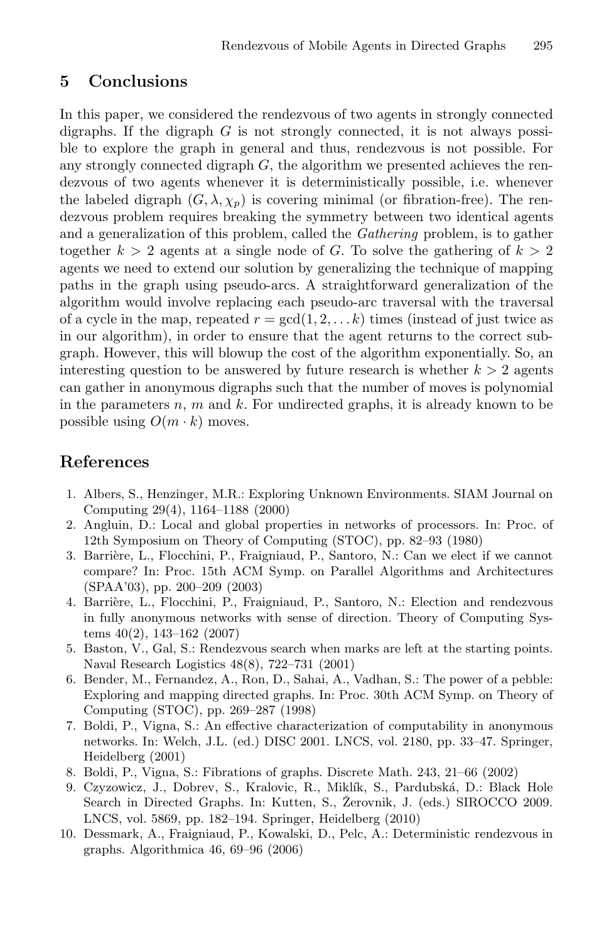## **5 Conclusions**

In this paper, we considered the rendezvous of two agents in strongly connected digraphs. If the digraph  $G$  is not strongly connected, it is not always possible to explore the graph in general and thus, rendezvous is not possible. For any strongly connected digraph  $G$ , the algorithm we presented achieves the rendezvous of two agents whenever it is deterministically possible, i.e. whenever the labeled digraph  $(G, \lambda, \chi_p)$  is covering minimal (or fibration-free). The rendezvous problem requires breaking the symmetry between two identical agents and a generalization of this problem, called the *Gathering* problem, is to gather together  $k > 2$  agents at a single node of G. To solve the gathering of  $k > 2$ agents we need to extend our solution by generalizing the technique of mapping paths in the graph using pseudo-arcs. A straightforward generalization of the algorithm would involve replacing each pseudo-arc traversal with the traversal of a cycle in the map, repeated  $r = \gcd(1, 2, \ldots k)$  times (instead of just twice as in our algorithm), in order to ensure that the agent returns to the correct subgraph. However, this will blowup the cost of the algorithm exponentially. So, an interesting question to be answered by future research is whether  $k > 2$  agents can gather in anonymous digraphs such that the number of moves is polynomial in the parameters  $n, m$  and  $k$ . For undirected graphs, it is already known to be possible using  $O(m \cdot k)$  moves.

## **References**

- <span id="page-13-7"></span>1. Albers, S., Henzinger, M.R.: Exploring Unknown Environments. SIAM Journal on Computing 29(4), 1164–1188 (2000)
- <span id="page-13-3"></span>2. Angluin, D.: Local and global properties in networks of processors. In: Proc. of 12th Symposium on Theory of Computing (STOC), pp. 82–93 (1980)
- <span id="page-13-0"></span>3. Barrière, L., Flocchini, P., Fraigniaud, P., Santoro, N.: Can we elect if we cannot compare? In: Proc. 15th ACM Symp. on Parallel Algorithms and Architectures (SPAA'03), pp. 200–209 (2003)
- <span id="page-13-1"></span>4. Barri`ere, L., Flocchini, P., Fraigniaud, P., Santoro, N.: Election and rendezvous in fully anonymous networks with sense of direction. Theory of Computing Systems 40(2), 143–162 (2007)
- <span id="page-13-6"></span>5. Baston, V., Gal, S.: Rendezvous search when marks are left at the starting points. Naval Research Logistics 48(8), 722–731 (2001)
- <span id="page-13-8"></span>6. Bender, M., Fernandez, A., Ron, D., Sahai, A., Vadhan, S.: The power of a pebble: Exploring and mapping directed graphs. In: Proc. 30th ACM Symp. on Theory of Computing (STOC), pp. 269–287 (1998)
- <span id="page-13-4"></span>7. Boldi, P., Vigna, S.: An effective characterization of computability in anonymous networks. In: Welch, J.L. (ed.) DISC 2001. LNCS, vol. 2180, pp. 33–47. Springer, Heidelberg (2001)
- <span id="page-13-9"></span>8. Boldi, P., Vigna, S.: Fibrations of graphs. Discrete Math. 243, 21–66 (2002)
- <span id="page-13-2"></span>9. Czyzowicz, J., Dobrev, S., Kralovic, R., Miklík, S., Pardubská, D.: Black Hole Search in Directed Graphs. In: Kutten, S., Žerovnik, J. (eds.) SIROCCO 2009. LNCS, vol. 5869, pp. 182–194. Springer, Heidelberg (2010)
- <span id="page-13-5"></span>10. Dessmark, A., Fraigniaud, P., Kowalski, D., Pelc, A.: Deterministic rendezvous in graphs. Algorithmica 46, 69–96 (2006)